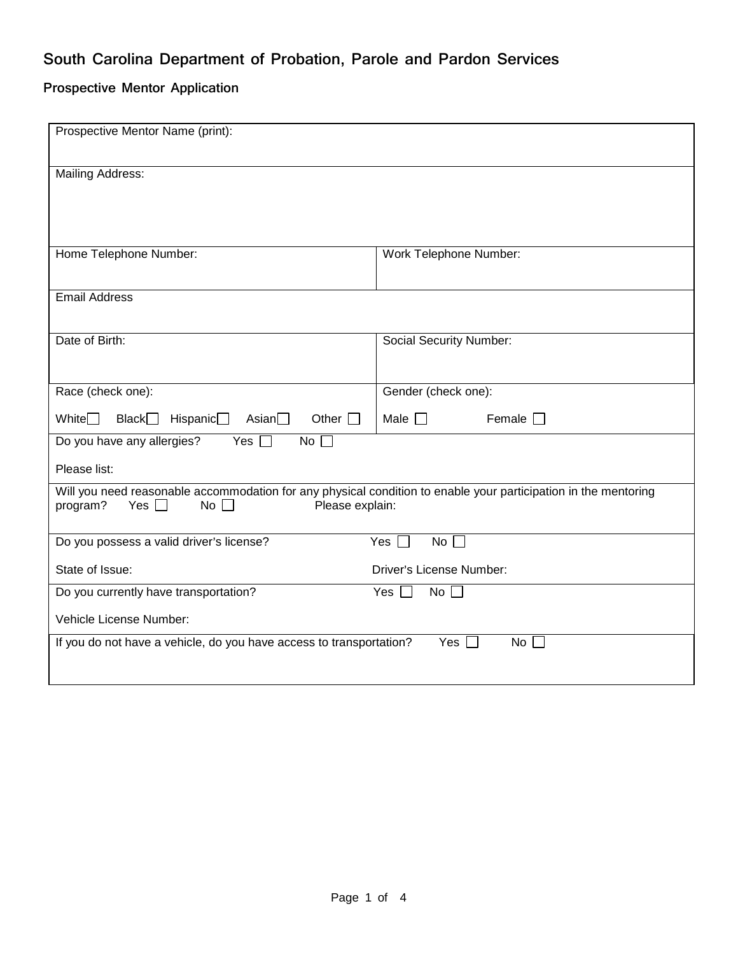## **South Carolina Department of Probation, Parole and Pardon Services**

## **Prospective Mentor Application**

| Prospective Mentor Name (print):                                                                                              |                                    |  |
|-------------------------------------------------------------------------------------------------------------------------------|------------------------------------|--|
| <b>Mailing Address:</b>                                                                                                       |                                    |  |
|                                                                                                                               |                                    |  |
| Home Telephone Number:                                                                                                        | Work Telephone Number:             |  |
|                                                                                                                               |                                    |  |
| <b>Email Address</b>                                                                                                          |                                    |  |
|                                                                                                                               |                                    |  |
| Date of Birth:                                                                                                                | Social Security Number:            |  |
|                                                                                                                               |                                    |  |
| Race (check one):                                                                                                             | Gender (check one):                |  |
| Other $\Box$<br>White $\Box$<br>Black<br>Hispanic $\Box$<br>Asian $\Box$                                                      | Female $\square$<br>Male $\square$ |  |
| Do you have any allergies?<br>Yes $\Box$<br>No $\Box$                                                                         |                                    |  |
| Please list:                                                                                                                  |                                    |  |
| Will you need reasonable accommodation for any physical condition to enable your participation in the mentoring<br>Yes $\Box$ |                                    |  |
| program?<br>Please explain:<br>No $\Box$                                                                                      |                                    |  |
| Do you possess a valid driver's license?                                                                                      | Yes $\Box$<br>No <sub>1</sub>      |  |
| State of Issue:                                                                                                               | <b>Driver's License Number:</b>    |  |
| Do you currently have transportation?                                                                                         | No <sub>1</sub><br>Yes $\Box$      |  |
| Vehicle License Number:                                                                                                       |                                    |  |
| If you do not have a vehicle, do you have access to transportation?<br>Yes $\Box$<br>No                                       |                                    |  |
|                                                                                                                               |                                    |  |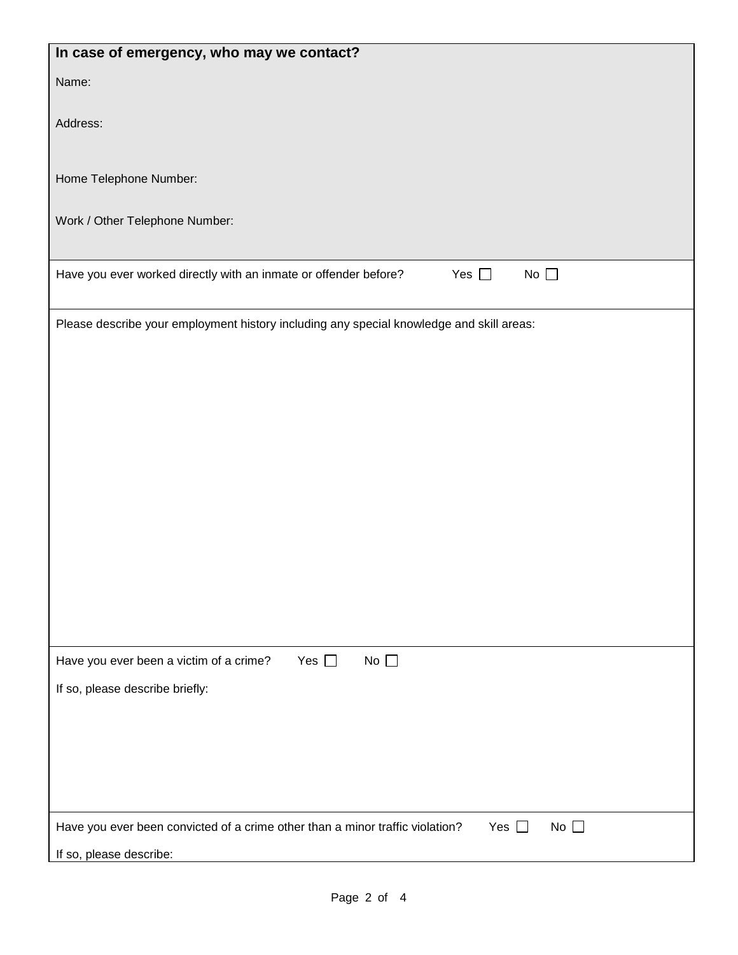| In case of emergency, who may we contact?                                                                   |  |  |
|-------------------------------------------------------------------------------------------------------------|--|--|
| Name:                                                                                                       |  |  |
|                                                                                                             |  |  |
| Address:                                                                                                    |  |  |
|                                                                                                             |  |  |
| Home Telephone Number:                                                                                      |  |  |
| Work / Other Telephone Number:                                                                              |  |  |
|                                                                                                             |  |  |
| Yes $\square$<br>No $\square$<br>Have you ever worked directly with an inmate or offender before?           |  |  |
|                                                                                                             |  |  |
| Please describe your employment history including any special knowledge and skill areas:                    |  |  |
|                                                                                                             |  |  |
|                                                                                                             |  |  |
|                                                                                                             |  |  |
|                                                                                                             |  |  |
|                                                                                                             |  |  |
|                                                                                                             |  |  |
|                                                                                                             |  |  |
|                                                                                                             |  |  |
|                                                                                                             |  |  |
|                                                                                                             |  |  |
|                                                                                                             |  |  |
| No $\square$<br>Have you ever been a victim of a crime?<br>Yes $\square$                                    |  |  |
| If so, please describe briefly:                                                                             |  |  |
|                                                                                                             |  |  |
|                                                                                                             |  |  |
|                                                                                                             |  |  |
|                                                                                                             |  |  |
| Have you ever been convicted of a crime other than a minor traffic violation?<br>No $\square$<br>Yes $\Box$ |  |  |
| If so, please describe:                                                                                     |  |  |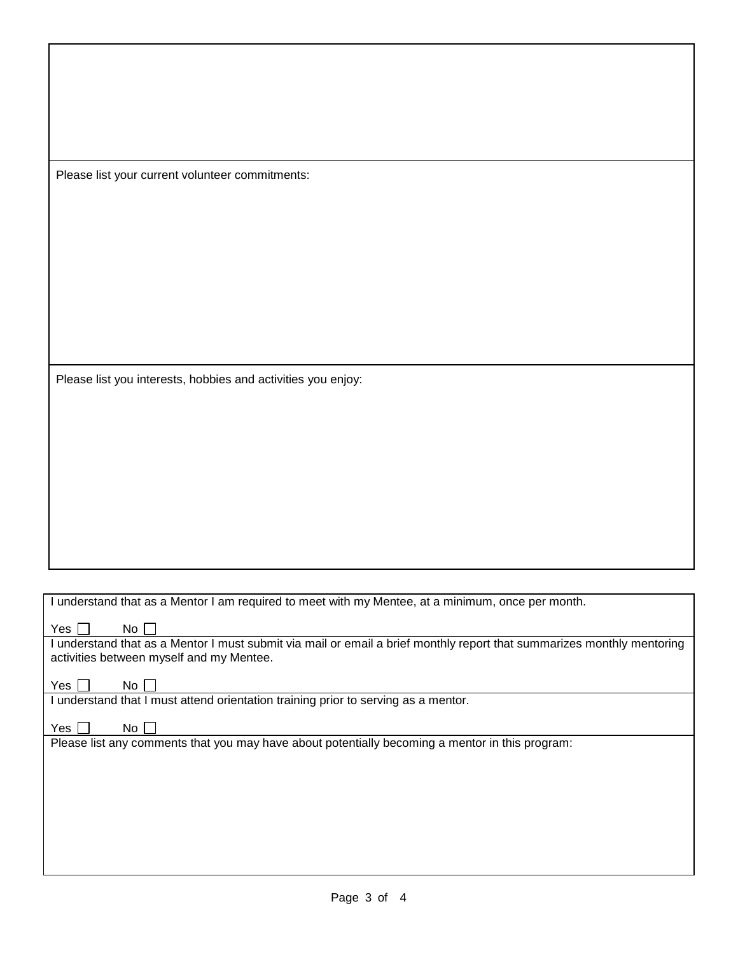Please list your current volunteer commitments:

Please list you interests, hobbies and activities you enjoy:

| I understand that as a Mentor I am required to meet with my Mentee, at a minimum, once per month.                                                                  |  |  |
|--------------------------------------------------------------------------------------------------------------------------------------------------------------------|--|--|
| No.<br>Yes I                                                                                                                                                       |  |  |
| l understand that as a Mentor I must submit via mail or email a brief monthly report that summarizes monthly mentoring<br>activities between myself and my Mentee. |  |  |
| Yes l<br>No.                                                                                                                                                       |  |  |
| understand that I must attend orientation training prior to serving as a mentor.                                                                                   |  |  |
| Yes  <br>No.                                                                                                                                                       |  |  |
| Please list any comments that you may have about potentially becoming a mentor in this program:                                                                    |  |  |
|                                                                                                                                                                    |  |  |
|                                                                                                                                                                    |  |  |
|                                                                                                                                                                    |  |  |
|                                                                                                                                                                    |  |  |
|                                                                                                                                                                    |  |  |